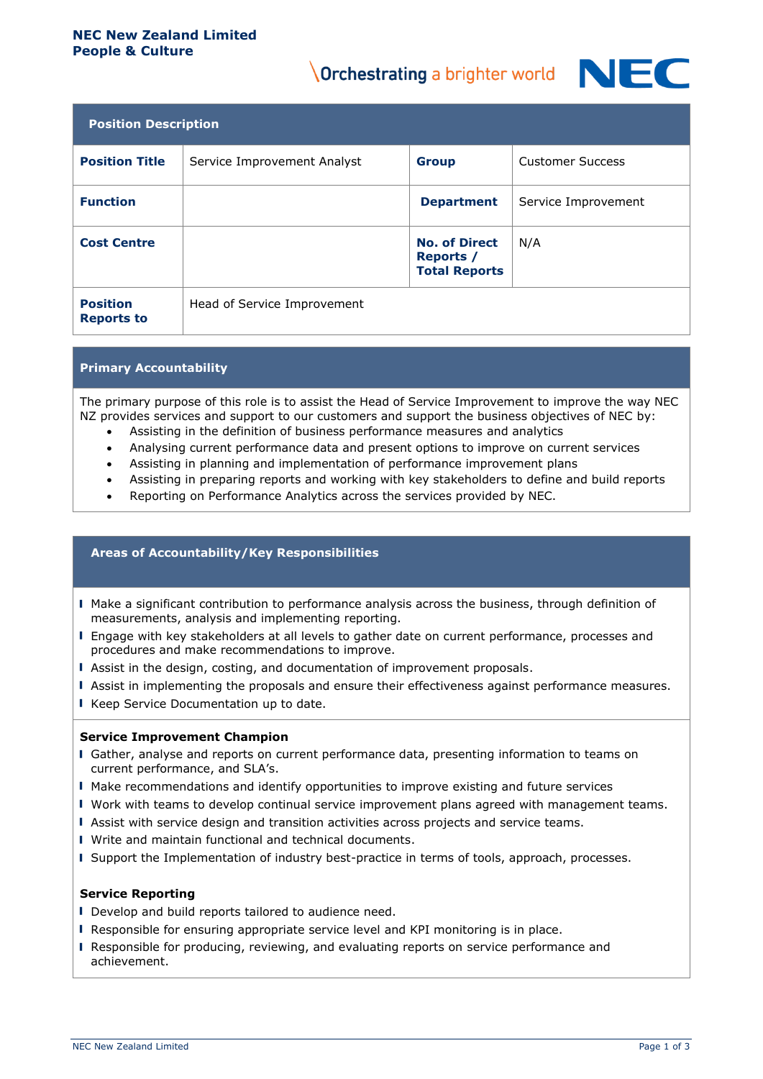#### **NEC New Zealand Limited People & Culture**

# **Orchestrating a brighter world NIF**



| <b>Position Description</b>          |                             |                                                                  |                         |  |
|--------------------------------------|-----------------------------|------------------------------------------------------------------|-------------------------|--|
| <b>Position Title</b>                | Service Improvement Analyst | <b>Group</b>                                                     | <b>Customer Success</b> |  |
| <b>Function</b>                      |                             | <b>Department</b>                                                | Service Improvement     |  |
| <b>Cost Centre</b>                   |                             | <b>No. of Direct</b><br><b>Reports</b> /<br><b>Total Reports</b> | N/A                     |  |
| <b>Position</b><br><b>Reports to</b> | Head of Service Improvement |                                                                  |                         |  |

# **Primary Accountability**

The primary purpose of this role is to assist the Head of Service Improvement to improve the way NEC NZ provides services and support to our customers and support the business objectives of NEC by:

- Assisting in the definition of business performance measures and analytics
- Analysing current performance data and present options to improve on current services
- Assisting in planning and implementation of performance improvement plans
- Assisting in preparing reports and working with key stakeholders to define and build reports
- Reporting on Performance Analytics across the services provided by NEC.

## **Areas of Accountability/Key Responsibilities**

- ▌ Make a significant contribution to performance analysis across the business, through definition of measurements, analysis and implementing reporting.
- ▌ Engage with key stakeholders at all levels to gather date on current performance, processes and procedures and make recommendations to improve.
- ▌ Assist in the design, costing, and documentation of improvement proposals.
- ▌ Assist in implementing the proposals and ensure their effectiveness against performance measures.
- ▌ Keep Service Documentation up to date.

#### **Service Improvement Champion**

- ▌ Gather, analyse and reports on current performance data, presenting information to teams on current performance, and SLA's.
- ▌ Make recommendations and identify opportunities to improve existing and future services
- ▌ Work with teams to develop continual service improvement plans agreed with management teams.
- ▌ Assist with service design and transition activities across projects and service teams.
- ▌ Write and maintain functional and technical documents.
- ▌ Support the Implementation of industry best-practice in terms of tools, approach, processes.

#### **Service Reporting**

- Develop and build reports tailored to audience need.
- ▌ Responsible for ensuring appropriate service level and KPI monitoring is in place.
- ▌ Responsible for producing, reviewing, and evaluating reports on service performance and achievement.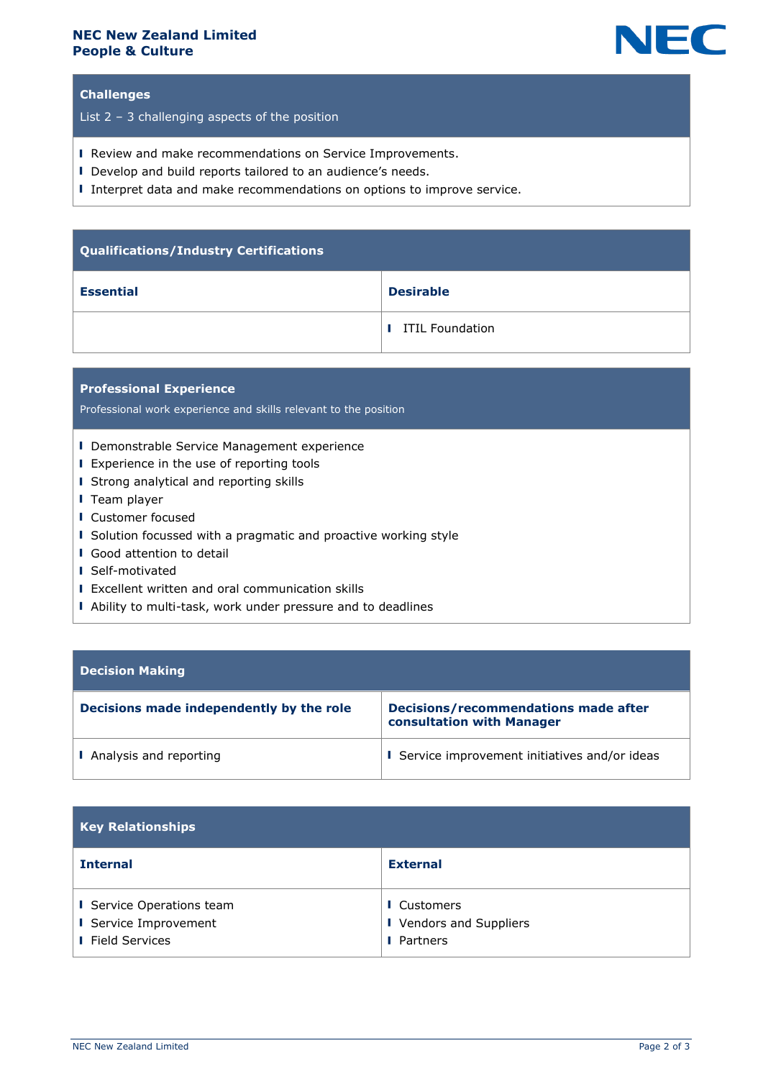## **NEC New Zealand Limited People & Culture**



# **Challenges**

List 2 – 3 challenging aspects of the position

- ▌ Review and make recommendations on Service Improvements.
- ▌ Develop and build reports tailored to an audience's needs.
- ▌ Interpret data and make recommendations on options to improve service.

| Qualifications/Industry Certifications |                          |  |
|----------------------------------------|--------------------------|--|
| <b>Essential</b>                       | <b>Desirable</b>         |  |
|                                        | <b>I</b> ITIL Foundation |  |

## **Professional Experience**

Professional work experience and skills relevant to the position

- ▌ Demonstrable Service Management experience
- Experience in the use of reporting tools
- ▌ Strong analytical and reporting skills
- ▌ Team player
- ▌ Customer focused
- ▌ Solution focussed with a pragmatic and proactive working style
- ▌ Good attention to detail
- ▌ Self-motivated
- ▌ Excellent written and oral communication skills
- Ability to multi-task, work under pressure and to deadlines

# **Decision Making**

| Decisions made independently by the role | <b>Decisions/recommendations made after</b><br>consultation with Manager |
|------------------------------------------|--------------------------------------------------------------------------|
| I Analysis and reporting                 | <b>I</b> Service improvement initiatives and/or ideas                    |

| <b>Key Relationships</b>                                                             |                                                                    |  |  |
|--------------------------------------------------------------------------------------|--------------------------------------------------------------------|--|--|
| <b>Internal</b>                                                                      | <b>External</b>                                                    |  |  |
| <b>I</b> Service Operations team<br>I Service Improvement<br><b>I</b> Field Services | <b>I</b> Customers<br>I Vendors and Suppliers<br><b>I</b> Partners |  |  |